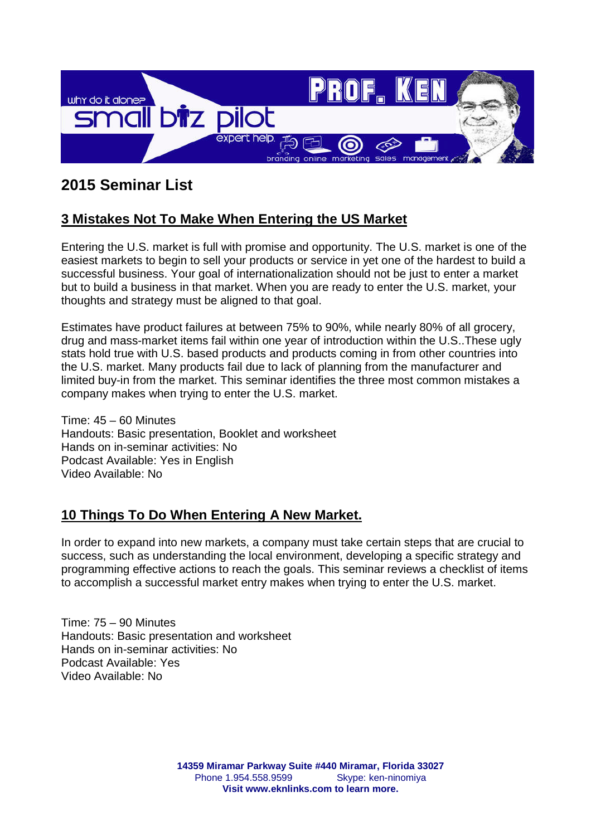

# **2015 Seminar List**

# **3 Mistakes Not To Make When Entering the US Market**

Entering the U.S. market is full with promise and opportunity. The U.S. market is one of the easiest markets to begin to sell your products or service in yet one of the hardest to build a successful business. Your goal of internationalization should not be just to enter a market but to build a business in that market. When you are ready to enter the U.S. market, your thoughts and strategy must be aligned to that goal.

Estimates have product failures at between 75% to 90%, while nearly 80% of all grocery, drug and mass-market items fail within one year of introduction within the U.S..These ugly stats hold true with U.S. based products and products coming in from other countries into the U.S. market. Many products fail due to lack of planning from the manufacturer and limited buy-in from the market. This seminar identifies the three most common mistakes a company makes when trying to enter the U.S. market.

Time: 45 – 60 Minutes Handouts: Basic presentation, Booklet and worksheet Hands on in-seminar activities: No Podcast Available: Yes in English Video Available: No

#### **10 Things To Do When Entering A New Market.**

In order to expand into new markets, a company must take certain steps that are crucial to success, such as understanding the local environment, developing a specific strategy and programming effective actions to reach the goals. This seminar reviews a checklist of items to accomplish a successful market entry makes when trying to enter the U.S. market.

Time: 75 – 90 Minutes Handouts: Basic presentation and worksheet Hands on in-seminar activities: No Podcast Available: Yes Video Available: No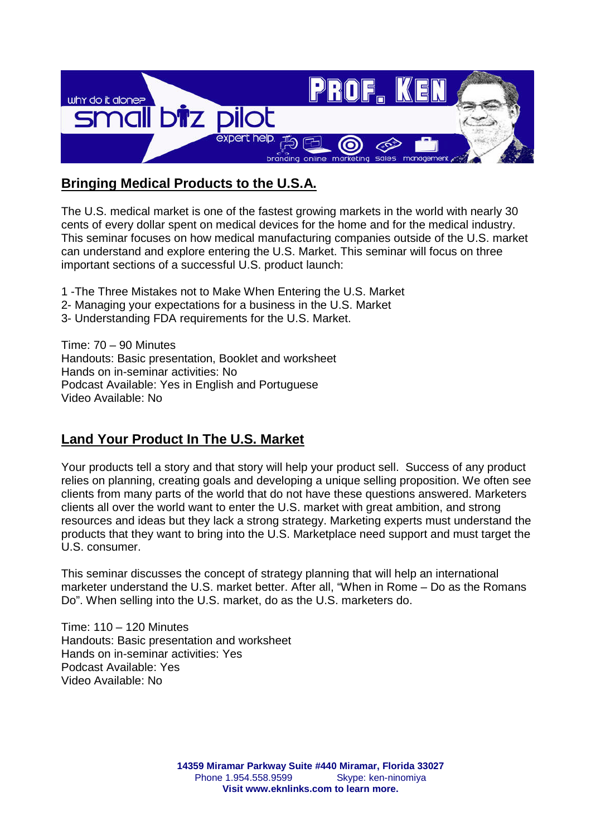

# **Bringing Medical Products to the U.S.A.**

The U.S. medical market is one of the fastest growing markets in the world with nearly 30 cents of every dollar spent on medical devices for the home and for the medical industry. This seminar focuses on how medical manufacturing companies outside of the U.S. market can understand and explore entering the U.S. Market. This seminar will focus on three important sections of a successful U.S. product launch:

- 1 -The Three Mistakes not to Make When Entering the U.S. Market
- 2- Managing your expectations for a business in the U.S. Market
- 3- Understanding FDA requirements for the U.S. Market.

Time: 70 – 90 Minutes Handouts: Basic presentation, Booklet and worksheet Hands on in-seminar activities: No Podcast Available: Yes in English and Portuguese Video Available: No

### **Land Your Product In The U.S. Market**

Your products tell a story and that story will help your product sell. Success of any product relies on planning, creating goals and developing a unique selling proposition. We often see clients from many parts of the world that do not have these questions answered. Marketers clients all over the world want to enter the U.S. market with great ambition, and strong resources and ideas but they lack a strong strategy. Marketing experts must understand the products that they want to bring into the U.S. Marketplace need support and must target the U.S. consumer.

This seminar discusses the concept of strategy planning that will help an international marketer understand the U.S. market better. After all, "When in Rome – Do as the Romans Do". When selling into the U.S. market, do as the U.S. marketers do.

Time: 110 – 120 Minutes Handouts: Basic presentation and worksheet Hands on in-seminar activities: Yes Podcast Available: Yes Video Available: No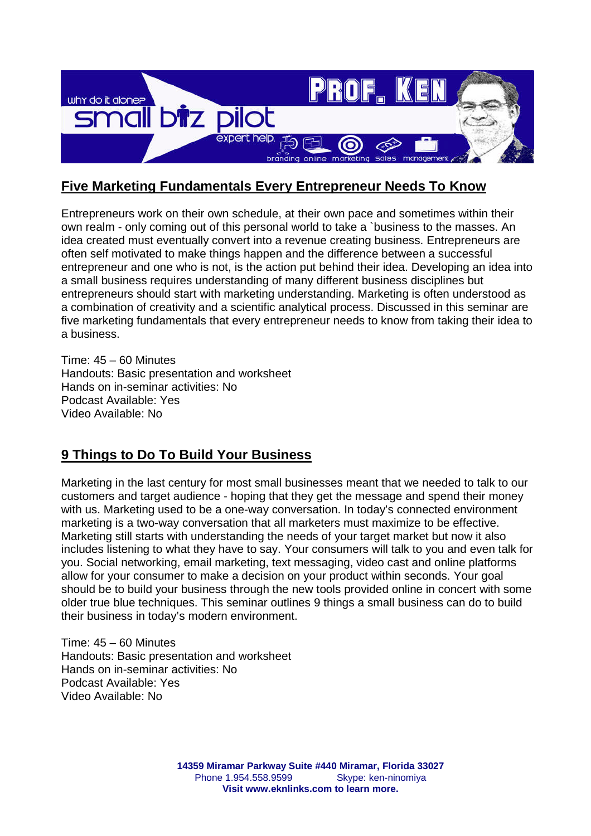

# **Five Marketing Fundamentals Every Entrepreneur Needs To Know**

Entrepreneurs work on their own schedule, at their own pace and sometimes within their own realm - only coming out of this personal world to take a `business to the masses. An idea created must eventually convert into a revenue creating business. Entrepreneurs are often self motivated to make things happen and the difference between a successful entrepreneur and one who is not, is the action put behind their idea. Developing an idea into a small business requires understanding of many different business disciplines but entrepreneurs should start with marketing understanding. Marketing is often understood as a combination of creativity and a scientific analytical process. Discussed in this seminar are five marketing fundamentals that every entrepreneur needs to know from taking their idea to a business.

Time: 45 – 60 Minutes Handouts: Basic presentation and worksheet Hands on in-seminar activities: No Podcast Available: Yes Video Available: No

# **9 Things to Do To Build Your Business**

Marketing in the last century for most small businesses meant that we needed to talk to our customers and target audience - hoping that they get the message and spend their money with us. Marketing used to be a one-way conversation. In today's connected environment marketing is a two-way conversation that all marketers must maximize to be effective. Marketing still starts with understanding the needs of your target market but now it also includes listening to what they have to say. Your consumers will talk to you and even talk for you. Social networking, email marketing, text messaging, video cast and online platforms allow for your consumer to make a decision on your product within seconds. Your goal should be to build your business through the new tools provided online in concert with some older true blue techniques. This seminar outlines 9 things a small business can do to build their business in today's modern environment.

Time: 45 – 60 Minutes Handouts: Basic presentation and worksheet Hands on in-seminar activities: No Podcast Available: Yes Video Available: No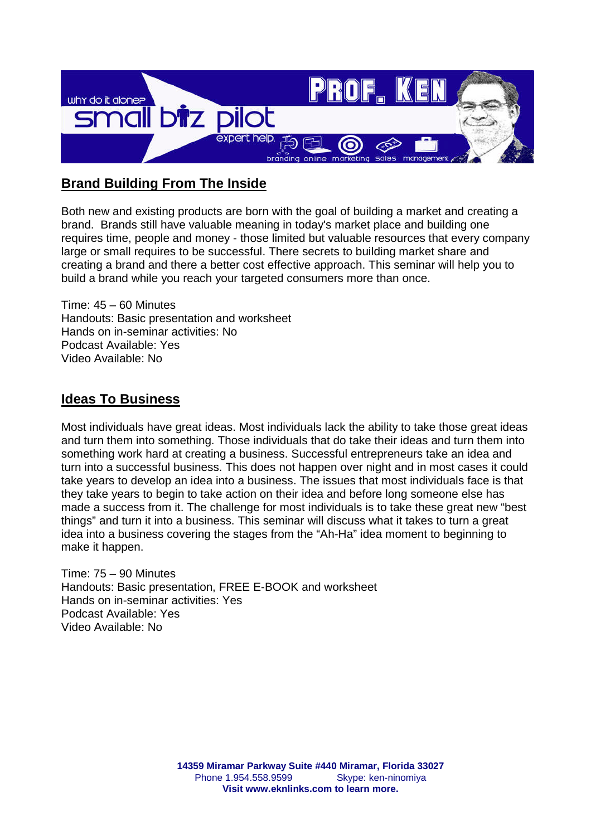

# **Brand Building From The Inside**

Both new and existing products are born with the goal of building a market and creating a brand. Brands still have valuable meaning in today's market place and building one requires time, people and money - those limited but valuable resources that every company large or small requires to be successful. There secrets to building market share and creating a brand and there a better cost effective approach. This seminar will help you to build a brand while you reach your targeted consumers more than once.

Time: 45 – 60 Minutes Handouts: Basic presentation and worksheet Hands on in-seminar activities: No Podcast Available: Yes Video Available: No

### **Ideas To Business**

Most individuals have great ideas. Most individuals lack the ability to take those great ideas and turn them into something. Those individuals that do take their ideas and turn them into something work hard at creating a business. Successful entrepreneurs take an idea and turn into a successful business. This does not happen over night and in most cases it could take years to develop an idea into a business. The issues that most individuals face is that they take years to begin to take action on their idea and before long someone else has made a success from it. The challenge for most individuals is to take these great new "best things" and turn it into a business. This seminar will discuss what it takes to turn a great idea into a business covering the stages from the "Ah-Ha" idea moment to beginning to make it happen.

Time: 75 – 90 Minutes Handouts: Basic presentation, FREE E-BOOK and worksheet Hands on in-seminar activities: Yes Podcast Available: Yes Video Available: No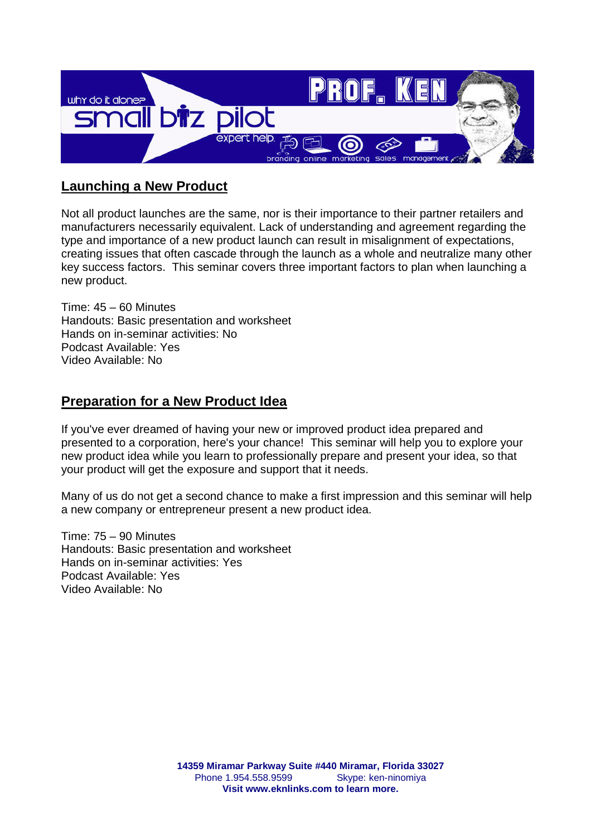

# **Launching a New Product**

Not all product launches are the same, nor is their importance to their partner retailers and manufacturers necessarily equivalent. Lack of understanding and agreement regarding the type and importance of a new product launch can result in misalignment of expectations, creating issues that often cascade through the launch as a whole and neutralize many other key success factors. This seminar covers three important factors to plan when launching a new product.

Time: 45 – 60 Minutes Handouts: Basic presentation and worksheet Hands on in-seminar activities: No Podcast Available: Yes Video Available: No

#### **Preparation for a New Product Idea**

If you've ever dreamed of having your new or improved product idea prepared and presented to a corporation, here's your chance! This seminar will help you to explore your new product idea while you learn to professionally prepare and present your idea, so that your product will get the exposure and support that it needs.

Many of us do not get a second chance to make a first impression and this seminar will help a new company or entrepreneur present a new product idea.

Time: 75 – 90 Minutes Handouts: Basic presentation and worksheet Hands on in-seminar activities: Yes Podcast Available: Yes Video Available: No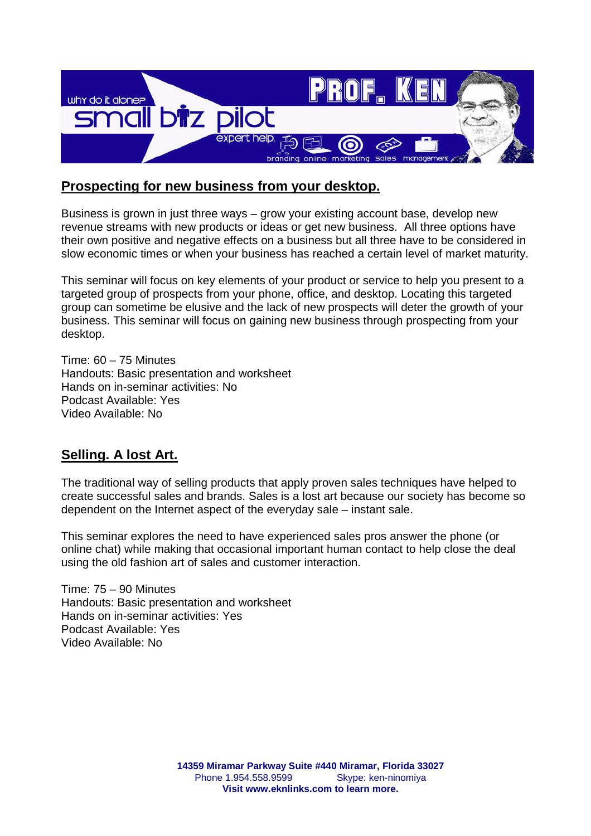

#### **Prospecting for new business from your desktop.**

Business is grown in just three ways – grow your existing account base, develop new revenue streams with new products or ideas or get new business. All three options have their own positive and negative effects on a business but all three have to be considered in slow economic times or when your business has reached a certain level of market maturity.

This seminar will focus on key elements of your product or service to help you present to a targeted group of prospects from your phone, office, and desktop. Locating this targeted group can sometime be elusive and the lack of new prospects will deter the growth of your business. This seminar will focus on gaining new business through prospecting from your desktop.

Time: 60 – 75 Minutes Handouts: Basic presentation and worksheet Hands on in-seminar activities: No Podcast Available: Yes Video Available: No

### **Selling. A lost Art.**

The traditional way of selling products that apply proven sales techniques have helped to create successful sales and brands. Sales is a lost art because our society has become so dependent on the Internet aspect of the everyday sale – instant sale.

This seminar explores the need to have experienced sales pros answer the phone (or online chat) while making that occasional important human contact to help close the deal using the old fashion art of sales and customer interaction.

Time: 75 – 90 Minutes Handouts: Basic presentation and worksheet Hands on in-seminar activities: Yes Podcast Available: Yes Video Available: No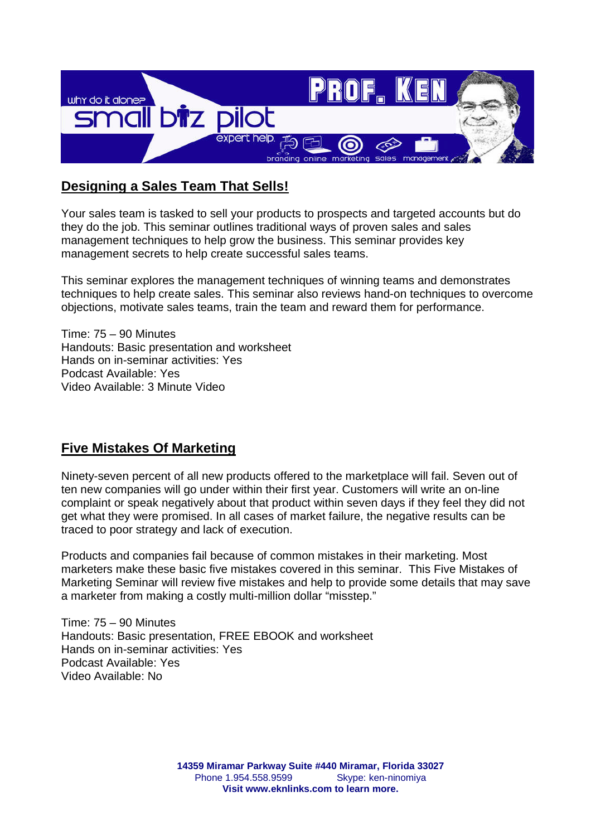

# **Designing a Sales Team That Sells!**

Your sales team is tasked to sell your products to prospects and targeted accounts but do they do the job. This seminar outlines traditional ways of proven sales and sales management techniques to help grow the business. This seminar provides key management secrets to help create successful sales teams.

This seminar explores the management techniques of winning teams and demonstrates techniques to help create sales. This seminar also reviews hand-on techniques to overcome objections, motivate sales teams, train the team and reward them for performance.

Time: 75 – 90 Minutes Handouts: Basic presentation and worksheet Hands on in-seminar activities: Yes Podcast Available: Yes Video Available: 3 Minute Video

### **Five Mistakes Of Marketing**

Ninety-seven percent of all new products offered to the marketplace will fail. Seven out of ten new companies will go under within their first year. Customers will write an on-line complaint or speak negatively about that product within seven days if they feel they did not get what they were promised. In all cases of market failure, the negative results can be traced to poor strategy and lack of execution.

Products and companies fail because of common mistakes in their marketing. Most marketers make these basic five mistakes covered in this seminar. This Five Mistakes of Marketing Seminar will review five mistakes and help to provide some details that may save a marketer from making a costly multi-million dollar "misstep."

Time: 75 – 90 Minutes Handouts: Basic presentation, FREE EBOOK and worksheet Hands on in-seminar activities: Yes Podcast Available: Yes Video Available: No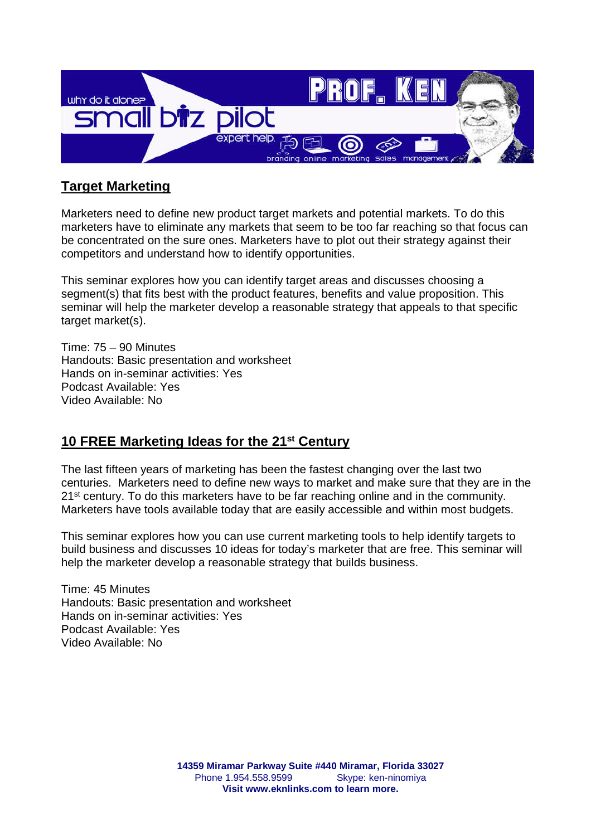

### **Target Marketing**

Marketers need to define new product target markets and potential markets. To do this marketers have to eliminate any markets that seem to be too far reaching so that focus can be concentrated on the sure ones. Marketers have to plot out their strategy against their competitors and understand how to identify opportunities.

This seminar explores how you can identify target areas and discusses choosing a segment(s) that fits best with the product features, benefits and value proposition. This seminar will help the marketer develop a reasonable strategy that appeals to that specific target market(s).

Time: 75 – 90 Minutes Handouts: Basic presentation and worksheet Hands on in-seminar activities: Yes Podcast Available: Yes Video Available: No

#### **10 FREE Marketing Ideas for the 21st Century**

The last fifteen years of marketing has been the fastest changing over the last two centuries. Marketers need to define new ways to market and make sure that they are in the 21<sup>st</sup> century. To do this marketers have to be far reaching online and in the community. Marketers have tools available today that are easily accessible and within most budgets.

This seminar explores how you can use current marketing tools to help identify targets to build business and discusses 10 ideas for today's marketer that are free. This seminar will help the marketer develop a reasonable strategy that builds business.

Time: 45 Minutes Handouts: Basic presentation and worksheet Hands on in-seminar activities: Yes Podcast Available: Yes Video Available: No